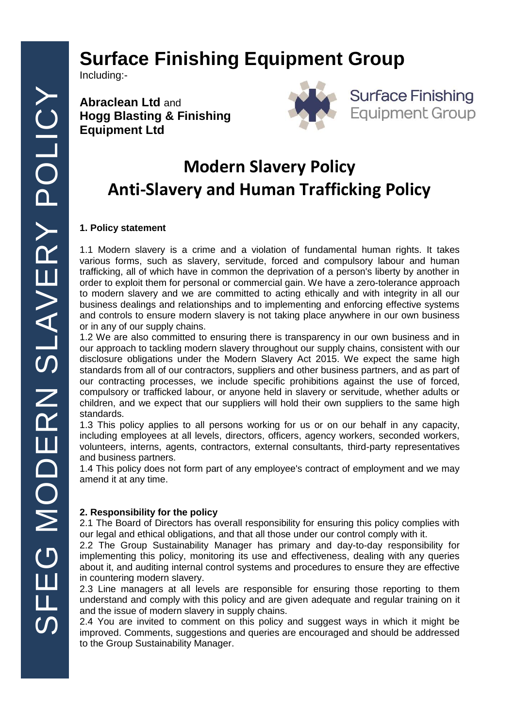# **Surface Finishing Equipment Group**

Including:-

**Abraclean Ltd** and **Hogg Blasting & Finishing Equipment Ltd**





## **Modern Slavery Policy Anti-Slavery and Human Trafficking Policy**

### **1. Policy statement**

1.1 Modern slavery is a crime and a violation of fundamental human rights. It takes various forms, such as slavery, servitude, forced and compulsory labour and human trafficking, all of which have in common the deprivation of a person's liberty by another in order to exploit them for personal or commercial gain. We have a zero-tolerance approach to modern slavery and we are committed to acting ethically and with integrity in all our business dealings and relationships and to implementing and enforcing effective systems and controls to ensure modern slavery is not taking place anywhere in our own business or in any of our supply chains.

1.2 We are also committed to ensuring there is transparency in our own business and in our approach to tackling modern slavery throughout our supply chains, consistent with our disclosure obligations under the Modern Slavery Act 2015. We expect the same high standards from all of our contractors, suppliers and other business partners, and as part of our contracting processes, we include specific prohibitions against the use of forced, compulsory or trafficked labour, or anyone held in slavery or servitude, whether adults or children, and we expect that our suppliers will hold their own suppliers to the same high standards.

1.3 This policy applies to all persons working for us or on our behalf in any capacity, including employees at all levels, directors, officers, agency workers, seconded workers, volunteers, interns, agents, contractors, external consultants, third-party representatives and business partners.

1.4 This policy does not form part of any employee's contract of employment and we may amend it at any time.

### **2. Responsibility for the policy**

2.1 The Board of Directors has overall responsibility for ensuring this policy complies with our legal and ethical obligations, and that all those under our control comply with it.

2.2 The Group Sustainability Manager has primary and day-to-day responsibility for implementing this policy, monitoring its use and effectiveness, dealing with any queries about it, and auditing internal control systems and procedures to ensure they are effective in countering modern slavery.

2.3 Line managers at all levels are responsible for ensuring those reporting to them understand and comply with this policy and are given adequate and regular training on it and the issue of modern slavery in supply chains.

2.4 You are invited to comment on this policy and suggest ways in which it might be improved. Comments, suggestions and queries are encouraged and should be addressed to the Group Sustainability Manager.